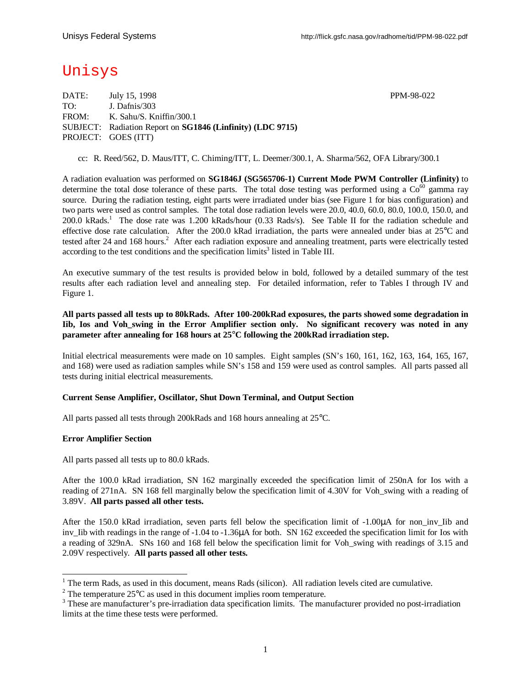# Unisys

DATE: July 15, 1998 PPM-98-022 TO: J. Dafnis/303 FROM: K. Sahu/S. Kniffin/300.1 SUBJECT: Radiation Report on **SG1846 (Linfinity) (LDC 9715)** PROJECT: GOES (ITT)

cc: R. Reed/562, D. Maus/ITT, C. Chiming/ITT, L. Deemer/300.1, A. Sharma/562, OFA Library/300.1

A radiation evaluation was performed on **SG1846J (SG565706-1) Current Mode PWM Controller (Linfinity)** to determine the total dose tolerance of these parts. The total dose testing was performed using a  $Co<sup>60</sup>$  gamma ray source. During the radiation testing, eight parts were irradiated under bias (see Figure 1 for bias configuration) and two parts were used as control samples. The total dose radiation levels were 20.0, 40.0, 60.0, 80.0, 100.0, 150.0, and 200.0 kRads.<sup>1</sup> The dose rate was 1.200 kRads/hour (0.33 Rads/s). See Table II for the radiation schedule and effective dose rate calculation. After the 200.0 kRad irradiation, the parts were annealed under bias at 25°C and tested after 24 and 168 hours.<sup>2</sup> After each radiation exposure and annealing treatment, parts were electrically tested according to the test conditions and the specification  $\lim$ its<sup>3</sup> listed in Table III.

An executive summary of the test results is provided below in bold, followed by a detailed summary of the test results after each radiation level and annealing step. For detailed information, refer to Tables I through IV and Figure 1.

### **All parts passed all tests up to 80kRads. After 100-200kRad exposures, the parts showed some degradation in Iib, Ios and Voh\_swing in the Error Amplifier section only. No significant recovery was noted in any parameter after annealing for 168 hours at 25°C following the 200kRad irradiation step.**

Initial electrical measurements were made on 10 samples. Eight samples (SN's 160, 161, 162, 163, 164, 165, 167, and 168) were used as radiation samples while SN's 158 and 159 were used as control samples. All parts passed all tests during initial electrical measurements.

#### **Current Sense Amplifier, Oscillator, Shut Down Terminal, and Output Section**

All parts passed all tests through 200kRads and 168 hours annealing at 25°C.

#### **Error Amplifier Section**

1

All parts passed all tests up to 80.0 kRads.

After the 100.0 kRad irradiation, SN 162 marginally exceeded the specification limit of 250nA for Ios with a reading of 271nA. SN 168 fell marginally below the specification limit of 4.30V for Voh\_swing with a reading of 3.89V. **All parts passed all other tests.**

After the 150.0 kRad irradiation, seven parts fell below the specification limit of -1.00μA for non\_inv\_Iib and inv\_Iib with readings in the range of -1.04 to -1.36μA for both. SN 162 exceeded the specification limit for Ios with a reading of 329nA. SNs 160 and 168 fell below the specification limit for Voh\_swing with readings of 3.15 and 2.09V respectively. **All parts passed all other tests.**

 $1$  The term Rads, as used in this document, means Rads (silicon). All radiation levels cited are cumulative.

<sup>&</sup>lt;sup>2</sup> The temperature 25 $^{\circ}$ C as used in this document implies room temperature.

<sup>&</sup>lt;sup>3</sup> These are manufacturer's pre-irradiation data specification limits. The manufacturer provided no post-irradiation limits at the time these tests were performed.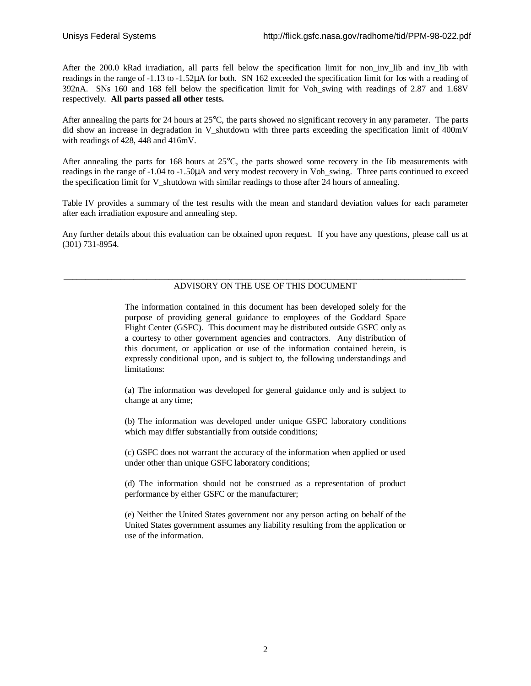After the 200.0 kRad irradiation, all parts fell below the specification limit for non inv Iib and inv Iib with readings in the range of -1.13 to -1.52μA for both. SN 162 exceeded the specification limit for Ios with a reading of 392nA. SNs 160 and 168 fell below the specification limit for Voh\_swing with readings of 2.87 and 1.68V respectively. **All parts passed all other tests.**

After annealing the parts for 24 hours at 25°C, the parts showed no significant recovery in any parameter. The parts did show an increase in degradation in V shutdown with three parts exceeding the specification limit of 400mV with readings of 428, 448 and 416mV.

After annealing the parts for 168 hours at 25°C, the parts showed some recovery in the Iib measurements with readings in the range of -1.04 to -1.50μA and very modest recovery in Voh\_swing. Three parts continued to exceed the specification limit for V shutdown with similar readings to those after 24 hours of annealing.

Table IV provides a summary of the test results with the mean and standard deviation values for each parameter after each irradiation exposure and annealing step.

Any further details about this evaluation can be obtained upon request. If you have any questions, please call us at (301) 731-8954.

#### \_\_\_\_\_\_\_\_\_\_\_\_\_\_\_\_\_\_\_\_\_\_\_\_\_\_\_\_\_\_\_\_\_\_\_\_\_\_\_\_\_\_\_\_\_\_\_\_\_\_\_\_\_\_\_\_\_\_\_\_\_\_\_\_\_\_\_\_\_\_\_\_\_\_\_\_\_\_\_\_\_\_\_\_\_\_\_\_\_\_\_\_ ADVISORY ON THE USE OF THIS DOCUMENT

The information contained in this document has been developed solely for the purpose of providing general guidance to employees of the Goddard Space Flight Center (GSFC). This document may be distributed outside GSFC only as a courtesy to other government agencies and contractors. Any distribution of this document, or application or use of the information contained herein, is expressly conditional upon, and is subject to, the following understandings and limitations:

(a) The information was developed for general guidance only and is subject to change at any time;

(b) The information was developed under unique GSFC laboratory conditions which may differ substantially from outside conditions;

(c) GSFC does not warrant the accuracy of the information when applied or used under other than unique GSFC laboratory conditions;

(d) The information should not be construed as a representation of product performance by either GSFC or the manufacturer;

(e) Neither the United States government nor any person acting on behalf of the United States government assumes any liability resulting from the application or use of the information.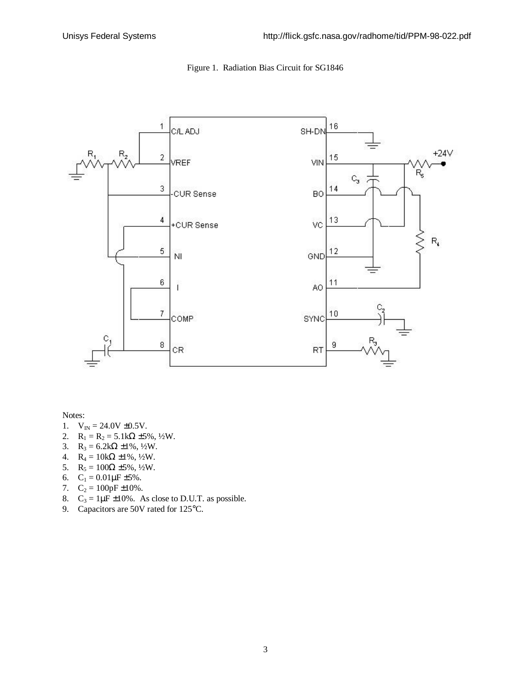

## Figure 1. Radiation Bias Circuit for SG1846

Notes:

- 1.  $V_{IN} = 24.0V \pm 0.5V$ .
- 2.  $R_1 = R_2 = 5.1k\Omega \pm 5\%, \frac{1}{2}W$ .
- 3.  $R_3 = 6.2k\Omega \pm 1\%, \frac{1}{2}W$ .
- 4.  $R_4 = 10k\Omega \pm 1\%, \frac{1}{2}W$ .
- 5.  $R_5 = 100\Omega \pm 5\%, \frac{1}{2}W$ .
- 6.  $C_1 = 0.01 \mu F \pm 5\%$ .
- 7.  $C_2 = 100pF \pm 10\%$ .
- 8.  $C_3 = 1 \mu \vec{F} \pm 10\%$ . As close to D.U.T. as possible.
- 9. Capacitors are 50V rated for 125°C.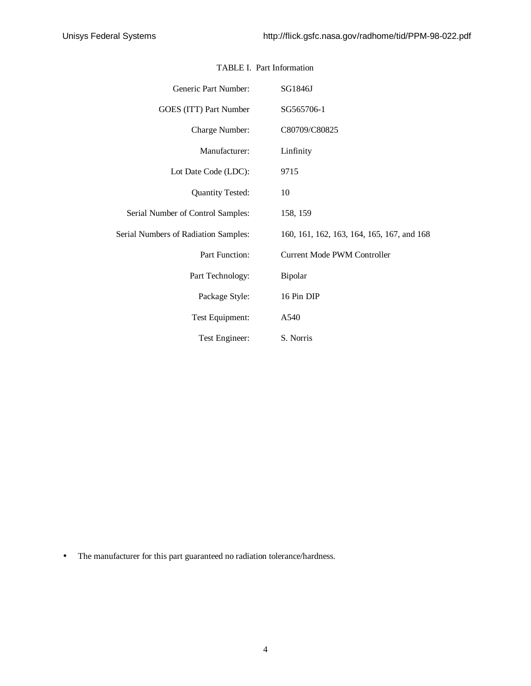| Generic Part Number:                 | SG1846J                                    |  |  |  |  |  |  |  |  |
|--------------------------------------|--------------------------------------------|--|--|--|--|--|--|--|--|
| GOES (ITT) Part Number               | SG565706-1                                 |  |  |  |  |  |  |  |  |
| Charge Number:                       | C80709/C80825                              |  |  |  |  |  |  |  |  |
| Manufacturer:                        | Linfinity                                  |  |  |  |  |  |  |  |  |
| Lot Date Code (LDC):                 | 9715                                       |  |  |  |  |  |  |  |  |
| <b>Quantity Tested:</b>              | 10                                         |  |  |  |  |  |  |  |  |
| Serial Number of Control Samples:    | 158, 159                                   |  |  |  |  |  |  |  |  |
| Serial Numbers of Radiation Samples: | 160, 161, 162, 163, 164, 165, 167, and 168 |  |  |  |  |  |  |  |  |
| Part Function:                       | <b>Current Mode PWM Controller</b>         |  |  |  |  |  |  |  |  |
| Part Technology:                     | Bipolar                                    |  |  |  |  |  |  |  |  |
| Package Style:                       | 16 Pin DIP                                 |  |  |  |  |  |  |  |  |
| Test Equipment:                      | A540                                       |  |  |  |  |  |  |  |  |
| Test Engineer:                       | S. Norris                                  |  |  |  |  |  |  |  |  |

## TABLE I. Part Information

• The manufacturer for this part guaranteed no radiation tolerance/hardness.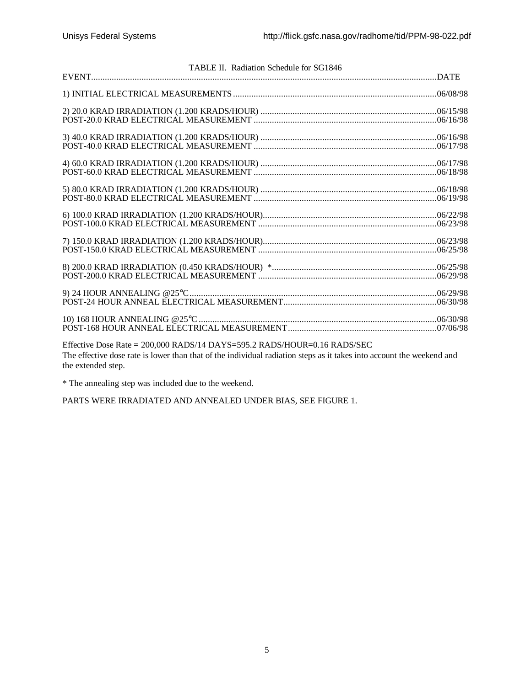| TABLE II. Radiation Schedule for SG1846                                                                               |  |
|-----------------------------------------------------------------------------------------------------------------------|--|
|                                                                                                                       |  |
|                                                                                                                       |  |
|                                                                                                                       |  |
|                                                                                                                       |  |
|                                                                                                                       |  |
|                                                                                                                       |  |
|                                                                                                                       |  |
|                                                                                                                       |  |
|                                                                                                                       |  |
|                                                                                                                       |  |
|                                                                                                                       |  |
|                                                                                                                       |  |
|                                                                                                                       |  |
|                                                                                                                       |  |
|                                                                                                                       |  |
|                                                                                                                       |  |
|                                                                                                                       |  |
|                                                                                                                       |  |
|                                                                                                                       |  |
|                                                                                                                       |  |
|                                                                                                                       |  |
|                                                                                                                       |  |
|                                                                                                                       |  |
|                                                                                                                       |  |
| Effective Dose Rate = 200,000 RADS/14 DAYS=595.2 RADS/HOUR=0.16 RADS/SEC                                              |  |
| The effective dose rate is lower than that of the individual radiation steps as it takes into account the weekend and |  |

The effective dose rate is lower than that of the individual radiation steps as it takes into account the weekend and the extended step.

\* The annealing step was included due to the weekend.

PARTS WERE IRRADIATED AND ANNEALED UNDER BIAS, SEE FIGURE 1.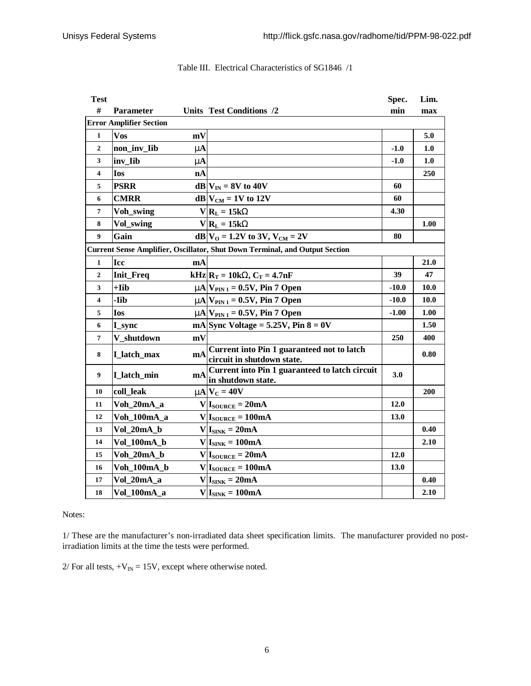| <b>Test</b>                                                                 |                                |                        |                                                                                                                    | Spec.       | Lim. |  |  |  |  |  |
|-----------------------------------------------------------------------------|--------------------------------|------------------------|--------------------------------------------------------------------------------------------------------------------|-------------|------|--|--|--|--|--|
| #                                                                           | <b>Parameter</b>               |                        | Units Test Conditions /2                                                                                           | min         | max  |  |  |  |  |  |
|                                                                             | <b>Error Amplifier Section</b> |                        |                                                                                                                    |             |      |  |  |  |  |  |
| $\mathbf{1}$                                                                | <b>Vos</b>                     | mV                     |                                                                                                                    |             | 5.0  |  |  |  |  |  |
| $\overline{2}$                                                              | non_inv_Iib                    | mA                     |                                                                                                                    | $-1.0$      | 1.0  |  |  |  |  |  |
| 3                                                                           | inv_Iib                        | mA                     |                                                                                                                    | $-1.0$      | 1.0  |  |  |  |  |  |
| $\overline{\mathbf{4}}$                                                     | <b>Ios</b>                     | nA                     |                                                                                                                    |             | 250  |  |  |  |  |  |
| 5                                                                           | <b>PSRR</b>                    |                        | $dB V_{IN} = 8V$ to 40V                                                                                            | 60          |      |  |  |  |  |  |
| 6                                                                           | <b>CMRR</b>                    |                        | $dB V_{CM} = 1V$ to 12V                                                                                            | 60          |      |  |  |  |  |  |
| 7                                                                           | Voh_swing                      |                        | $V R_L = 15kW$                                                                                                     | 4.30        |      |  |  |  |  |  |
| 8                                                                           | Vol_swing                      |                        | $V R_L = 15kW$                                                                                                     |             | 1.00 |  |  |  |  |  |
| 9                                                                           | Gain                           |                        | dB $V_0 = 1.2V$ to 3V, $V_{CM} = 2V$                                                                               | 80          |      |  |  |  |  |  |
| Current Sense Amplifier, Oscillator, Shut Down Terminal, and Output Section |                                |                        |                                                                                                                    |             |      |  |  |  |  |  |
| 1                                                                           | <b>Icc</b>                     | mA                     |                                                                                                                    |             | 21.0 |  |  |  |  |  |
| $\mathbf{2}$                                                                | Init_Freq                      |                        | $\mathbf{kHz} \mathbf{R}_{\mathrm{T}} = 10\mathbf{k}\mathbf{W}, \mathbf{C}_{\mathrm{T}} = 4.7\mathbf{n}\mathbf{F}$ | 39          | 47   |  |  |  |  |  |
| 3                                                                           | $+Iib$                         |                        | $mA$ $V_{\text{PIN 1}}$ = 0.5V, Pin 7 Open                                                                         | $-10.0$     | 10.0 |  |  |  |  |  |
| 4                                                                           | -Iib                           |                        | $mA$ $V_{PIN 1} = 0.5V$ , Pin 7 Open                                                                               | $-10.0$     | 10.0 |  |  |  |  |  |
| 5                                                                           | <b>Ios</b>                     |                        | $mA$ $V_{\text{PIN 1}} = 0.5V$ , Pin 7 Open                                                                        | $-1.00$     | 1.00 |  |  |  |  |  |
| 6                                                                           | I_sync                         |                        | mA Sync Voltage = $5.25V$ , Pin $8 = 0V$                                                                           |             | 1.50 |  |  |  |  |  |
| 7                                                                           | V shutdown                     | mV                     |                                                                                                                    | 250         | 400  |  |  |  |  |  |
| 8                                                                           | I latch max                    | $\mathbf{m}\mathbf{A}$ | Current into Pin 1 guaranteed not to latch<br>circuit in shutdown state.                                           |             | 0.80 |  |  |  |  |  |
| 9                                                                           | I latch min                    | mA                     | Current into Pin 1 guaranteed to latch circuit<br>in shutdown state.                                               | 3.0         |      |  |  |  |  |  |
| 10                                                                          | coll leak                      |                        | $mNC = 40V$                                                                                                        |             | 200  |  |  |  |  |  |
| 11                                                                          | Voh_20mA_a                     |                        | $V I_{\text{SOURCE}} = 20mA$                                                                                       | 12.0        |      |  |  |  |  |  |
| 12                                                                          | Voh 100mA a                    |                        | $V I_{\text{SOURCE}} = 100mA$                                                                                      | <b>13.0</b> |      |  |  |  |  |  |
| 13                                                                          | Vol_20mA_b                     |                        | $V I_{SINK} = 20mA$                                                                                                |             | 0.40 |  |  |  |  |  |
| 14                                                                          | Vol_100mA_b                    |                        | $V I_{SINK} = 100mA$                                                                                               |             | 2.10 |  |  |  |  |  |
| 15                                                                          | Voh 20mA b                     |                        | $V I_{\text{SOURCE}} = 20mA$                                                                                       | 12.0        |      |  |  |  |  |  |
| 16                                                                          | Voh_100mA_b                    |                        | $V I_{\text{SOURCE}} = 100mA$                                                                                      | 13.0        |      |  |  |  |  |  |
| 17                                                                          | Vol_20mA_a                     |                        | $V I_{SINK} = 20mA$                                                                                                |             | 0.40 |  |  |  |  |  |
| 18                                                                          | Vol 100mA a                    |                        | $V I_{SINK} = 100mA$                                                                                               |             | 2.10 |  |  |  |  |  |

# Table III. Electrical Characteristics of SG1846 /1

Notes:

1/ These are the manufacturer's non-irradiated data sheet specification limits. The manufacturer provided no postirradiation limits at the time the tests were performed.

 $2/$  For all tests,  $+V_{IN} = 15V$ , except where otherwise noted.